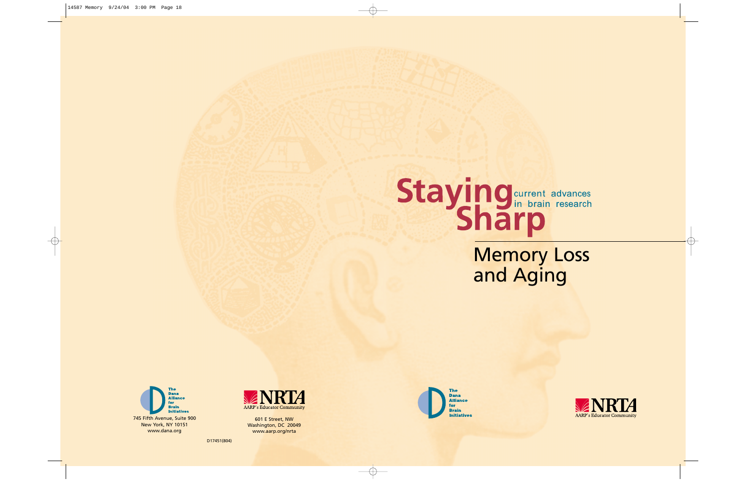# Staying current advances

Memory Loss and Aging





601 E Street, NW Washington, DC 20049 www.aarp.org/nrta



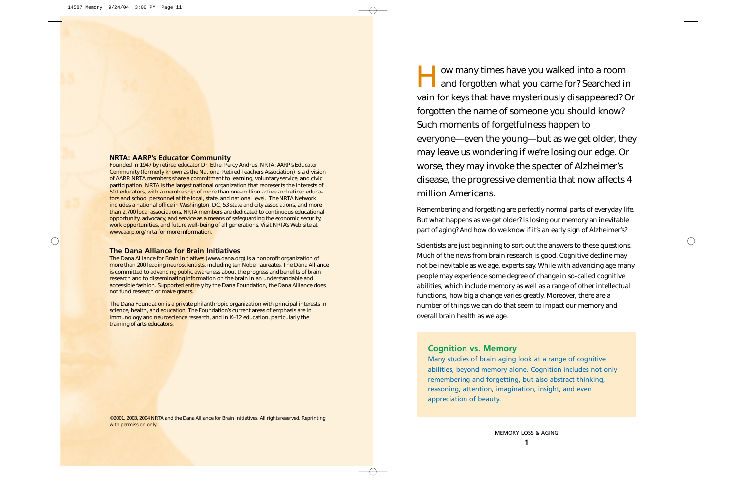I ow many times have you walked into a room<br>and forgotten what you came for? Searched in vain for keys that have mysteriously disappeared? Or forgotten the name of someone you should know? Such moments of forgetfulness happen to everyone—even the young—but as we get older, they may leave us wondering if we're losing our edge. Or worse, they may invoke the specter of Alzheimer's disease, the progressive dementia that now affects 4 million Americans.

Remembering and forgetting are perfectly normal parts of everyday life. But what happens as we get older? Is losing our memory an inevitable part of aging? And how do we know if it's an early sign of Alzheimer's?

Scientists are just beginning to sort out the answers to these questions. Much of the news from brain research is good. Cognitive decline may not be inevitable as we age, experts say. While with advancing age many people may experience some degree of change in so-called cognitive abilities, which include memory as well as a range of other intellectual functions, how big a change varies greatly. Moreover, there are a number of things we can do that seem to impact our memory and overall brain health as we age.

# **Cognition vs. Memory**

Many studies of brain aging look at a range of cognitive abilities, beyond memory alone. Cognition includes not only remembering and forgetting, but also abstract thinking, reasoning, attention, imagination, insight, and even appreciation of beauty.

#### **NRTA: AARP's Educator Community**

©2001, 2003, 2004 NRTA and the Dana Alliance for Brain Initiatives. All rights reserved. Reprinting with permission only.

Founded in 1947 by retired educator Dr. Ethel Percy Andrus, NRTA: *AARP's Educator Community* (formerly known as the National Retired Teachers Association) is a division of AARP. NRTA members share a commitment to learning, voluntary service, and civic participation. NRTA is the largest national organization that represents the interests of 50+ educators, with a membership of more than one-million active and retired educators and school personnel at the local, state, and national level. The NRTA Network includes a national office in Washington, DC, 53 state and city associations, and more than 2,700 local associations. NRTA members are dedicated to continuous educational opportunity, advocacy, and service as a means of safeguarding the economic security, work opportunities, and future well-being of all generations. Visit NRTA's Web site at www.aarp.org/nrta for more information.

#### **The Dana Alliance for Brain Initiatives**

The Dana Alliance for Brain Initiatives (www.dana.org) is a nonprofit organization of more than 200 leading neuroscientists, including ten Nobel laureates. The Dana Alliance is committed to advancing public awareness about the progress and benefits of brain research and to disseminating information on the brain in an understandable and accessible fashion. Supported entirely by the Dana Foundation, the Dana Alliance does not fund research or make grants.

The Dana Foundation is a private philanthropic organization with principal interests in science, health, and education. The Foundation's current areas of emphasis are in immunology and neuroscience research, and in K–12 education, particularly the training of arts educators.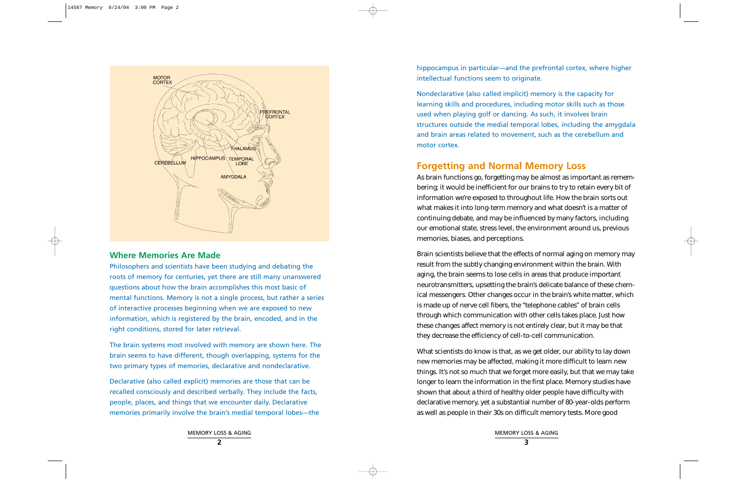## **Where Memories Are Made**

Philosophers and scientists have been studying and debating the roots of memory for centuries, yet there are still many unanswered questions about how the brain accomplishes this most basic of mental functions. Memory is not a single process, but rather a series of interactive processes beginning when we are exposed to new information, which is registered by the brain, encoded, and in the right conditions, stored for later retrieval.

The brain systems most involved with memory are shown here. The brain seems to have different, though overlapping, systems for the two primary types of memories, declarative and nondeclarative.

Declarative (also called explicit) memories are those that can be recalled consciously and described verbally. They include the facts, people, places, and things that we encounter daily. Declarative memories primarily involve the brain's medial temporal lobes—the hippocampus in particular—and the prefrontal cortex, where higher intellectual functions seem to originate.

Nondeclarative (also called implicit) memory is the capacity for learning skills and procedures, including motor skills such as those used when playing golf or dancing. As such, it involves brain structures outside the medial temporal lobes, including the amygdala and brain areas related to movement, such as the cerebellum and motor cortex.

# **Forgetting and Normal Memory Loss**

As brain functions go, forgetting may be almost as important as remembering; it would be inefficient for our brains to try to retain every bit of information we're exposed to throughout life. How the brain sorts out what makes it into long-term memory and what doesn't is a matter of continuing debate, and may be influenced by many factors, including our emotional state, stress level, the environment around us, previous memories, biases, and perceptions.

Brain scientists believe that the effects of normal aging on memory may result from the subtly changing environment within the brain. With aging, the brain seems to lose cells in areas that produce important neurotransmitters, upsetting the brain's delicate balance of these chemical messengers. Other changes occur in the brain's white matter, which is made up of nerve cell fibers, the "telephone cables" of brain cells through which communication with other cells takes place. Just how these changes affect memory is not entirely clear, but it may be that they decrease the efficiency of cell-to-cell communication.

What scientists do know is that, as we get older, our ability to lay down new memories may be affected, making it more difficult to learn new things. It's not so much that we forget more easily, but that we may take longer to learn the information in the first place. Memory studies have shown that about a third of healthy older people have difficulty with declarative memory, yet a substantial number of 80-year-olds perform as well as people in their 30s on difficult memory tests. More good

MEMORY LOSS & AGING **2**

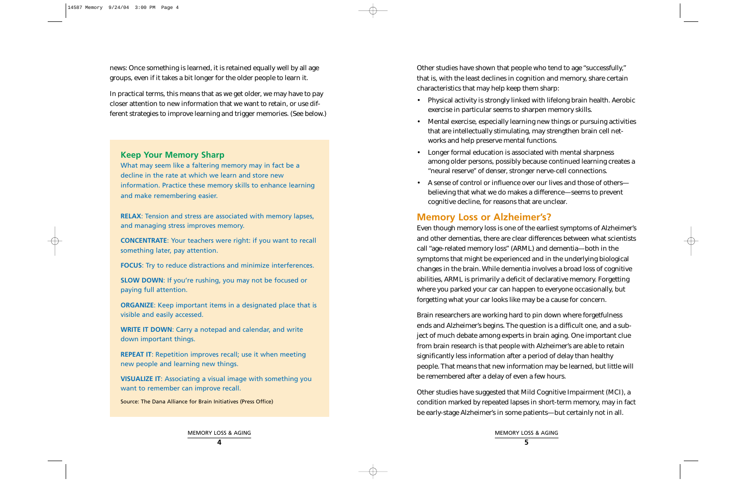news: Once something is learned, it is retained equally well by all age groups, even if it takes a bit longer for the older people to learn it.

In practical terms, this means that as we get older, we may have to pay closer attention to new information that we want to retain, or use different strategies to improve learning and trigger memories. (See below.) Other studies have shown that people who tend to age "successfully," that is, with the least declines in cognition and memory, share certain characteristics that may help keep them sharp:

- Physical activity is strongly linked with lifelong brain health. Aerobic exercise in particular seems to sharpen memory skills.
- Mental exercise, especially learning new things or pursuing activities that are intellectually stimulating, may strengthen brain cell networks and help preserve mental functions.
- • Longer formal education is associated with mental sharpness among older persons, possibly because continued learning creates a "neural reserve" of denser, stronger nerve-cell connections.
- • A sense of control or influence over our lives and those of others believing that what we do makes a difference—seems to prevent cognitive decline, for reasons that are unclear.

# **Memory Loss or Alzheimer's?**

**SLOW DOWN:** If you're rushing, you may not be focused or paying full attention.

Even though memory loss is one of the earliest symptoms of Alzheimer's and other dementias, there are clear differences between what scientists call "age-related memory loss" (ARML) and dementia—both in the symptoms that might be experienced and in the underlying biological changes in the brain. While dementia involves a broad loss of cognitive abilities, ARML is primarily a deficit of declarative memory. Forgetting where you parked your car can happen to everyone occasionally, but forgetting what your car looks like may be a cause for concern.

**REPEAT IT:** Repetition improves recall; use it when meeting new people and learning new things.

Brain researchers are working hard to pin down where forgetfulness ends and Alzheimer's begins. The question is a difficult one, and a subject of much debate among experts in brain aging. One important clue from brain research is that people with Alzheimer's are able to retain significantly less information after a period of delay than healthy people. That means that new information may be learned, but little will be remembered after a delay of even a few hours.

Other studies have suggested that Mild Cognitive Impairment (MCI), a condition marked by repeated lapses in short-term memory, may in fact be early-stage Alzheimer's in some patients—but certainly not in all.

## **Keep Your Memory Sharp**

What may seem like a faltering memory may in fact be a decline in the rate at which we learn and store new information. Practice these memory skills to enhance learning and make remembering easier.

**RELAX**: Tension and stress are associated with memory lapses, and managing stress improves memory.

**CONCENTRATE**: Your teachers were right: if you want to recall something later, pay attention.

**FOCUS**: Try to reduce distractions and minimize interferences.

**ORGANIZE**: Keep important items in a designated place that is visible and easily accessed.

**WRITE IT DOWN**: Carry a notepad and calendar, and write down important things.

**VISUALIZE IT**: Associating a visual image with something you want to remember can improve recall.

Source: The Dana Alliance for Brain Initiatives (Press Office)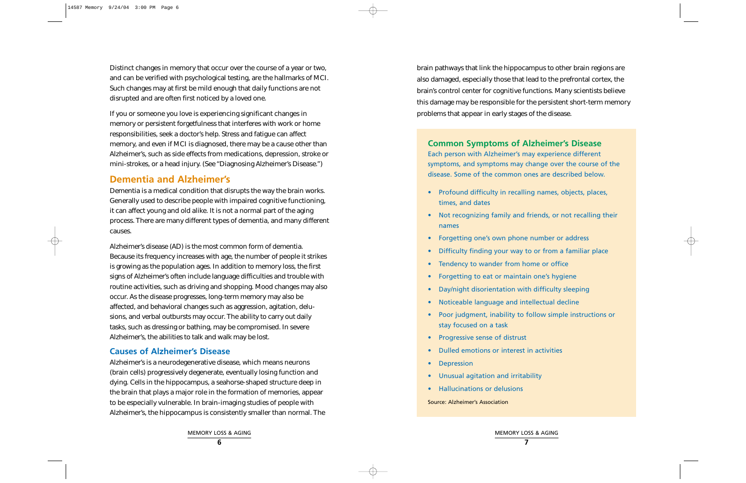Distinct changes in memory that occur over the course of a year or two, and can be verified with psychological testing, are the hallmarks of MCI. Such changes may at first be mild enough that daily functions are not disrupted and are often first noticed by a loved one.

If you or someone you love is experiencing significant changes in memory or persistent forgetfulness that interferes with work or home responsibilities, seek a doctor's help. Stress and fatigue can affect memory, and even if MCI is diagnosed, there may be a cause other than Alzheimer's, such as side effects from medications, depression, stroke or mini-strokes, or a head injury. (See "Diagnosing Alzheimer's Disease.")

## **Dementia and Alzheimer's**

Dementia is a medical condition that disrupts the way the brain works. Generally used to describe people with impaired cognitive functioning, it can affect young and old alike. It is not a normal part of the aging process. There are many different types of dementia, and many different causes.

Alzheimer's disease (AD) is the most common form of dementia. Because its frequency increases with age, the number of people it strikes is growing as the population ages. In addition to memory loss, the first signs of Alzheimer's often include language difficulties and trouble with routine activities, such as driving and shopping. Mood changes may also occur. As the disease progresses, long-term memory may also be affected, and behavioral changes such as aggression, agitation, delusions, and verbal outbursts may occur. The ability to carry out daily tasks, such as dressing or bathing, may be compromised. In severe Alzheimer's, the abilities to talk and walk may be lost.

## **Causes of Alzheimer's Disease**

Alzheimer's is a neurodegenerative disease, which means neurons (brain cells) progressively degenerate, eventually losing function and dying. Cells in the hippocampus, a seahorse-shaped structure deep in the brain that plays a major role in the formation of memories, appear to be especially vulnerable. In brain-imaging studies of people with Alzheimer's, the hippocampus is consistently smaller than normal. The brain pathways that link the hippocampus to other brain regions are also damaged, especially those that lead to the prefrontal cortex, the brain's control center for cognitive functions. Many scientists believe this damage may be responsible for the persistent short-term memory problems that appear in early stages of the disease.

# **Common Symptoms of Alzheimer's Disease** Each person with Alzheimer's may experience different symptoms, and symptoms may change over the course of the

disease. Some of the common ones are described below.

- Profound difficulty in recalling names, objects, places, times, and dates
- Not recognizing family and friends, or not recalling their names
- Forgetting one's own phone number or address
- •Difficulty finding your way to or from a familiar place
- •Tendency to wander from home or office
- Forgetting to eat or maintain one's hygiene
- •Day/night disorientation with difficulty sleeping
- Noticeable language and intellectual decline
- Poor judgment, inability to follow simple instructions or stay focused on a task
- Progressive sense of distrust
- Dulled emotions or interest in activities
- Depression
- Unusual agitation and irritability
- Hallucinations or delusions

Source: Alzheimer's Association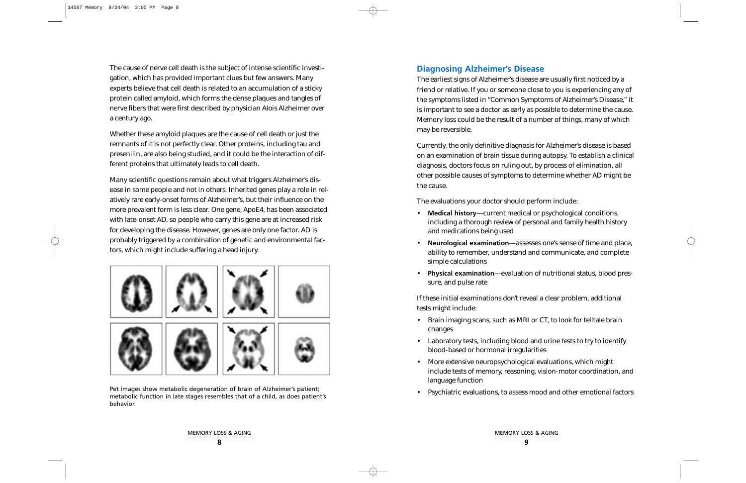The cause of nerve cell death is the subject of intense scientific investigation, which has provided important clues but few answers. Many experts believe that cell death is related to an accumulation of a sticky protein called amyloid, which forms the dense plaques and tangles of nerve fibers that were first described by physician Alois Alzheimer over a century ago.

Whether these amyloid plaques are the cause of cell death or just the remnants of it is not perfectly clear. Other proteins, including tau and presenilin, are also being studied, and it could be the interaction of different proteins that ultimately leads to cell death.

Many scientific questions remain about what triggers Alzheimer's disease in some people and not in others. Inherited genes play a role in relatively rare early-onset forms of Alzheimer's, but their influence on the more prevalent form is less clear. One gene, ApoE4, has been associated with late-onset AD, so people who carry this gene are at increased risk for developing the disease. However, genes are only one factor. AD is probably triggered by a combination of genetic and environmental factors, which might include suffering a head injury.



## **Diagnosing Alzheimer's Disease**

The earliest signs of Alzheimer's disease are usually first noticed by a friend or relative. If you or someone close to you is experiencing any of the symptoms listed in "Common Symptoms of Alzheimer's Disease," it is important to see a doctor as early as possible to determine the cause. Memory loss could be the result of a number of things, many of which may be reversible.

Pet images show metabolic degeneration of brain of Alzheimer's patient;<br>
metabolic function in late stages resembles that of a child, as does patient's<br>
metabolic function in late stages resembles that of a child, as does behavior.

Currently, the only definitive diagnosis for Alzheimer's disease is based on an examination of brain tissue during autopsy. To establish a clinical diagnosis, doctors focus on ruling out, by process of elimination, all other possible causes of symptoms to determine whether AD might be the cause.

The evaluations your doctor should perform include:

- • **Medical history**—current medical or psychological conditions, including a thorough review of personal and family health history and medications being used
- • **Neurological examination**—assesses one's sense of time and place, ability to remember, understand and communicate, and complete simple calculations
- • **Physical examination**—evaluation of nutritional status, blood pressure, and pulse rate

If these initial examinations don't reveal a clear problem, additional tests might include:

- Brain imaging scans, such as MRI or CT, to look for telltale brain changes
- • Laboratory tests, including blood and urine tests to try to identify blood-based or hormonal irregularities
- • More extensive neuropsychological evaluations, which might include tests of memory, reasoning, vision-motor coordination, and language function
- •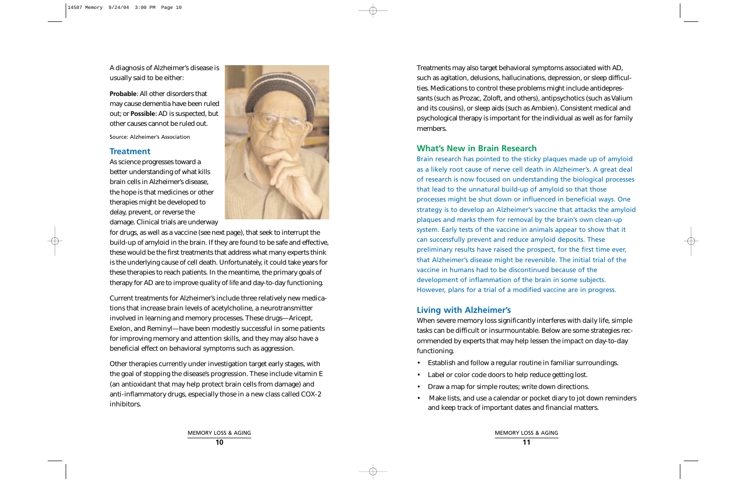A diagnosis of Alzheimer's disease is usually said to be either:

**Probable**: All other disorders that may cause dementia have been ruled out; or **Possible**: AD is suspected, but other causes cannot be ruled out.

Source: Alzheimer's Association

## **Treatment**

As science progresses toward a better understanding of what kills brain cells in Alzheimer's disease, the hope is that medicines or other therapies might be developed to delay, prevent, or reverse the damage. Clinical trials are underway



for drugs, as well as a vaccine (see next page), that seek to interrupt the build-up of amyloid in the brain. If they are found to be safe and effective, these would be the first treatments that address what many experts think is the underlying cause of cell death. Unfortunately, it could take years for these therapies to reach patients. In the meantime, the primary goals of therapy for AD are to improve quality of life and day-to-day functioning.

Current treatments for Alzheimer's include three relatively new medications that increase brain levels of acetylcholine, a neurotransmitter involved in learning and memory processes. These drugs—Aricept, Exelon, and Reminyl—have been modestly successful in some patients for improving memory and attention skills, and they may also have a beneficial effect on behavioral symptoms such as aggression.

Other therapies currently under investigation target early stages, with the goal of stopping the disease's progression. These include vitamin E (an antioxidant that may help protect brain cells from damage) and anti-inflammatory drugs, especially those in a new class called COX-2 inhibitors.

Treatments may also target behavioral symptoms associated with AD, such as agitation, delusions, hallucinations, depression, or sleep difficulties. Medications to control these problems might include antidepressants (such as Prozac, Zoloft, and others), antipsychotics (such as Valium and its cousins), or sleep aids (such as Ambien). Consistent medical and psychological therapy is important for the individual as well as for family members.

## **What's New in Brain Research**

Brain research has pointed to the sticky plaques made up of amyloid as a likely root cause of nerve cell death in Alzheimer's. A great deal of research is now focused on understanding the biological processes that lead to the unnatural build-up of amyloid so that those processes might be shut down or influenced in beneficial ways. One strategy is to develop an Alzheimer's vaccine that attacks the amyloid plaques and marks them for removal by the brain's own clean-up system. Early tests of the vaccine in animals appear to show that it can successfully prevent and reduce amyloid deposits. These preliminary results have raised the prospect, for the first time ever, that Alzheimer's disease might be reversible. The initial trial of the vaccine in humans had to be discontinued because of the development of inflammation of the brain in some subjects. However, plans for a trial of a modified vaccine are in progress.

## **Living with Alzheimer's**

When severe memory loss significantly interferes with daily life, simple tasks can be difficult or insurmountable. Below are some strategies recommended by experts that may help lessen the impact on day-to-day functioning.

- Establish and follow a regular routine in familiar surroundings.
- Label or color code doors to help reduce getting lost.
- •Draw a map for simple routes; write down directions.
- • Make lists, and use a calendar or pocket diary to jot down reminders and keep track of important dates and financial matters.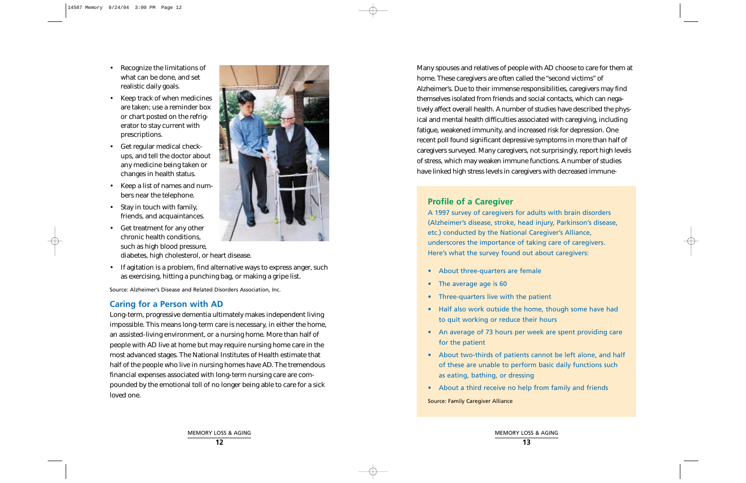- Recognize the limitations of what can be done, and set realistic daily goals.
- • Keep track of when medicines are taken; use a reminder box or chart posted on the refrigerator to stay current with prescriptions.
- • Get regular medical checkups, and tell the doctor about any medicine being taken or changes in health status.
- Keep a list of names and numbers near the telephone.
- • Stay in touch with family, friends, and acquaintances.
- • Get treatment for any other chronic health conditions, such as high blood pressure, diabetes, high cholesterol, or heart disease.
- If agitation is a problem, find alternative ways to express anger, such as exercising, hitting a punching bag, or making a gripe list.

Source: Alzheimer's Disease and Related Disorders Association, Inc.

## **Caring for a Person with AD**

Long-term, progressive dementia ultimately makes independent living impossible. This means long-term care is necessary, in either the home, an assisted-living environment, or a nursing home. More than half of people with AD live at home but may require nursing home care in the most advanced stages. The National Institutes of Health estimate that half of the people who live in nursing homes have AD. The tremendous financial expenses associated with long-term nursing care are compounded by the emotional toll of no longer being able to care for a sick loved one.

Many spouses and relatives of people with AD choose to care for them at home. These caregivers are often called the "second victims" of Alzheimer's. Due to their immense responsibilities, caregivers may find themselves isolated from friends and social contacts, which can negatively affect overall health. A number of studies have described the physical and mental health difficulties associated with caregiving, including fatigue, weakened immunity, and increased risk for depression. One recent poll found significant depressive symptoms in more than half of caregivers surveyed. Many caregivers, not surprisingly, report high levels of stress, which may weaken immune functions. A number of studies have linked high stress levels in caregivers with decreased immune-

# **Profile of a Caregiver**

A 1997 survey of caregivers for adults with brain disorders (Alzheimer's disease, stroke, head injury, Parkinson's disease, etc.) conducted by the National Caregiver's Alliance, underscores the importance of taking care of caregivers. Here's what the survey found out about caregivers:

- About three-quarters are female
- The average age is 60
- Three-quarters live with the patient
- Half also work outside the home, though some have had to quit working or reduce their hours
- An average of 73 hours per week are spent providing care for the patient
- About two-thirds of patients cannot be left alone, and half of these are unable to perform basic daily functions such as eating, bathing, or dressing
- About a third receive no help from family and friends

Source: Family Caregiver Alliance

MEMORY LOSS & AGING **12**

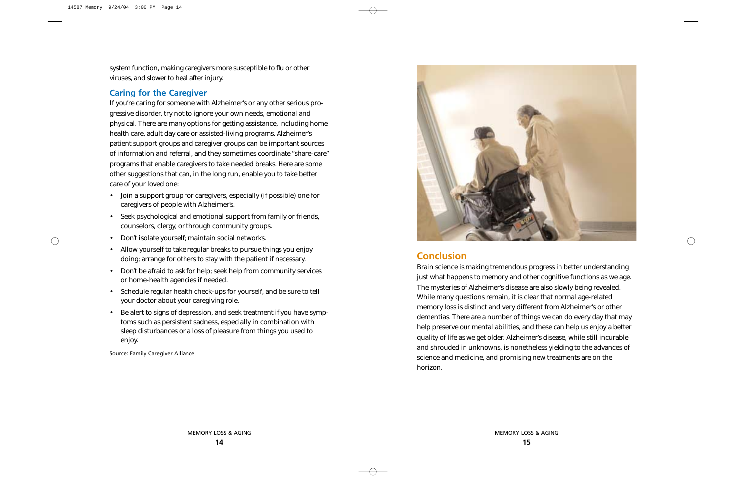system function, making caregivers more susceptible to flu or other viruses, and slower to heal after injury.

## **Caring for the Caregiver**

If you're caring for someone with Alzheimer's or any other serious progressive disorder, try not to ignore your own needs, emotional and physical. There are many options for getting assistance, including home health care, adult day care or assisted-living programs. Alzheimer's patient support groups and caregiver groups can be important sources of information and referral, and they sometimes coordinate "share-care" programs that enable caregivers to take needed breaks. Here are some other suggestions that can, in the long run, enable you to take better care of your loved one:

- Join a support group for caregivers, especially (if possible) one for caregivers of people with Alzheimer's.
- Seek psychological and emotional support from family or friends, counselors, clergy, or through community groups.
- •Don't isolate yourself; maintain social networks.
- • Allow yourself to take regular breaks to pursue things you enjoy doing; arrange for others to stay with the patient if necessary.
- • Don't be afraid to ask for help; seek help from community services or home-health agencies if needed.
- Schedule regular health check-ups for yourself, and be sure to tell your doctor about your caregiving role.
- Be alert to signs of depression, and seek treatment if you have symptoms such as persistent sadness, especially in combination with sleep disturbances or a loss of pleasure from things you used to enjoy.

Source: Family Caregiver Alliance



# **Conclusion**

Brain science is making tremendous progress in better understanding just what happens to memory and other cognitive functions as we age. The mysteries of Alzheimer's disease are also slowly being revealed. While many questions remain, it is clear that normal age-related memory loss is distinct and very different from Alzheimer's or other dementias. There are a number of things we can do every day that may help preserve our mental abilities, and these can help us enjoy a better quality of life as we get older. Alzheimer's disease, while still incurable and shrouded in unknowns, is nonetheless yielding to the advances of science and medicine, and promising new treatments are on the horizon.

MEMORY LOSS & AGING **14**